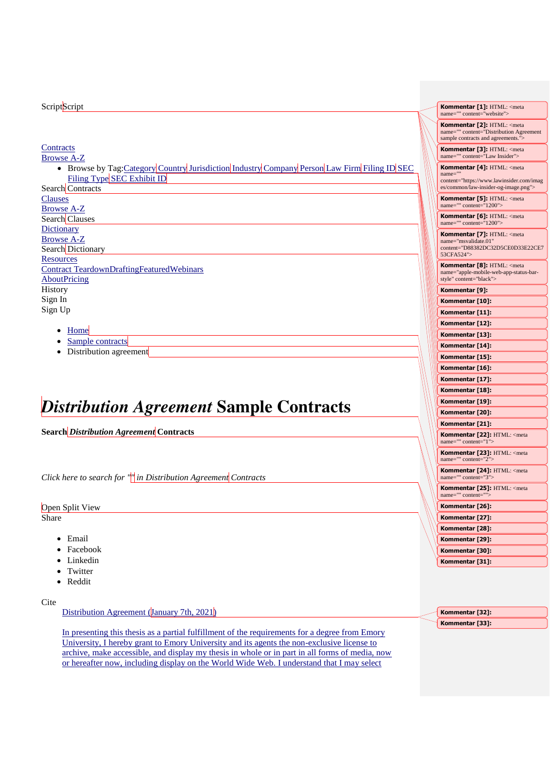# **Script**Script

#### **Contracts** Browse A-Z

- **Browse by Tag:**Category Country Jurisdiction Industry Company Person Law Firm Filing ID SEC Filing Type SEC Exhibit ID
- Search Contracts **Clauses** Browse A-Z Search Clauses **Dictionary** Browse A-Z Search Dictionary **Resources** Contract TeardownDraftingFeaturedWebinars **AboutPricing History** Sign In Sign Up
	- [Home](https://www.lawinsider.com/)
	- [Sample contracts](https://www.lawinsider.com/tags)
	- Distribution agreement

# *Distribution Agreement* **Sample Contracts**

**Search** *Distribution Agreement* **Contracts**

*Click here to search for "<sup>"</sup> in Distribution Agreement Contracts* 

Open Split View Share

- Email
- Facebook
- Linkedin
- Twitter
- Reddit

#### Cite

Distribution Agreement (January 7th, 2021)

In presenting this thesis as a partial fulfillment of the requirements for a degree from Emory University, I hereby grant to Emory University and its agents the non-exclusive license to archive, make accessible, and display my thesis in whole or in part in all forms of media, now or hereafter now, including display on the World Wide Web. I understand that I may select

| Kommentar [1]: HTML: <meta<br>name="" content="website"&gt;</meta<br>                                                                    |
|------------------------------------------------------------------------------------------------------------------------------------------|
| Kommentar [2]: HTML: <meta<br>name="" content="Distribution Agreement<br/>sample contracts and agreements."&gt;</meta<br>                |
| Kommentar [3]: HTML: <meta<br>name="" content="Law Insider"&gt;</meta<br>                                                                |
| Kommentar [4]: HTML: <meta<br>name=""<br/>content="https://www.lawinsider.com/imag<br/>es/common/law-insider-og-image.png"&gt;</meta<br> |
| Kommentar [5]: HTML: <meta<br>name="" content="1200"&gt;</meta<br>                                                                       |
| Kommentar [6]: HTML: <meta<br>name="" content="1200"&gt;</meta<br>                                                                       |
| Kommentar [7]: HTML: <meta<br>name="msvalidate.01"<br/>content="D88382DC32D5CE0D33E22CE7<br/>53CFA524"&gt;</meta<br>                     |
| Kommentar [8]: HTML: <meta<br>name="apple-mobile-web-app-status-bar-<br/>style" content="black"&gt;</meta<br>                            |
| Kommentar [9]:                                                                                                                           |
| Kommentar [10]:                                                                                                                          |
| Kommentar [11]:                                                                                                                          |
| Kommentar [12]:                                                                                                                          |
| Kommentar [13]:                                                                                                                          |
| Kommentar [14]:                                                                                                                          |
| Kommentar [15]:                                                                                                                          |
| Kommentar [16]:                                                                                                                          |
| Kommentar [17]:                                                                                                                          |
| Kommentar [18]:                                                                                                                          |
| Kommentar [19]:                                                                                                                          |
| Kommentar [20]:                                                                                                                          |
| Kommentar [21]:                                                                                                                          |
| Kommentar [22]: HTML: <meta<br>name="" content="1"&gt;</meta<br>                                                                         |
| Kommentar [23]: HTML: <meta<br>name="" content="2"&gt;</meta<br>                                                                         |
| Kommentar [24]: HTML: <meta<br>name="" content="3"&gt;</meta<br>                                                                         |
| Kommentar [25]: HTML: <meta<br>name="" content=""&gt;</meta<br>                                                                          |
| Kommentar [26]:                                                                                                                          |
| Kommentar [27]:                                                                                                                          |
| Kommentar [28]:                                                                                                                          |
| Kommentar [29]:                                                                                                                          |
| Kommentar [30]:                                                                                                                          |
| Kommentar [31]:                                                                                                                          |
|                                                                                                                                          |

| Kommentar [32]: |  |
|-----------------|--|
| Kommentar [33]: |  |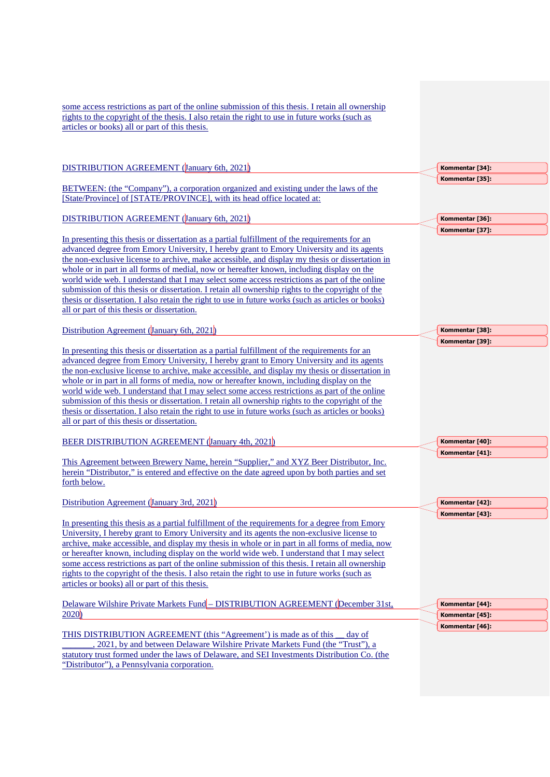| some access restrictions as part of the online submission of this thesis. I retain all ownership<br>rights to the copyright of the thesis. I also retain the right to use in future works (such as<br>articles or books) all or part of this thesis.                                                                                                                                                                                                                                                                                                                                                                                                                                                                                                |                 |
|-----------------------------------------------------------------------------------------------------------------------------------------------------------------------------------------------------------------------------------------------------------------------------------------------------------------------------------------------------------------------------------------------------------------------------------------------------------------------------------------------------------------------------------------------------------------------------------------------------------------------------------------------------------------------------------------------------------------------------------------------------|-----------------|
| DISTRIBUTION AGREEMENT (January 6th, 2021)                                                                                                                                                                                                                                                                                                                                                                                                                                                                                                                                                                                                                                                                                                          | Kommentar [34]: |
| BETWEEN: (the "Company"), a corporation organized and existing under the laws of the<br>[State/Province] of [STATE/PROVINCE], with its head office located at:                                                                                                                                                                                                                                                                                                                                                                                                                                                                                                                                                                                      | Kommentar [35]: |
| <b>DISTRIBUTION AGREEMENT (January 6th, 2021)</b>                                                                                                                                                                                                                                                                                                                                                                                                                                                                                                                                                                                                                                                                                                   | Kommentar [36]: |
| In presenting this thesis or dissertation as a partial fulfillment of the requirements for an<br>advanced degree from Emory University, I hereby grant to Emory University and its agents<br>the non-exclusive license to archive, make accessible, and display my thesis or dissertation in<br>whole or in part in all forms of medial, now or hereafter known, including display on the<br>world wide web. I understand that I may select some access restrictions as part of the online<br>submission of this thesis or dissertation. I retain all ownership rights to the copyright of the<br>thesis or dissertation. I also retain the right to use in future works (such as articles or books)<br>all or part of this thesis or dissertation. | Kommentar [37]: |
| Distribution Agreement (January 6th, 2021)                                                                                                                                                                                                                                                                                                                                                                                                                                                                                                                                                                                                                                                                                                          | Kommentar [38]: |
| In presenting this thesis or dissertation as a partial fulfillment of the requirements for an<br>advanced degree from Emory University, I hereby grant to Emory University and its agents<br>the non-exclusive license to archive, make accessible, and display my thesis or dissertation in<br>whole or in part in all forms of media, now or hereafter known, including display on the<br>world wide web. I understand that I may select some access restrictions as part of the online<br>submission of this thesis or dissertation. I retain all ownership rights to the copyright of the<br>thesis or dissertation. I also retain the right to use in future works (such as articles or books)<br>all or part of this thesis or dissertation.  | Kommentar [39]: |
| <b>BEER DISTRIBUTION AGREEMENT (January 4th, 2021)</b>                                                                                                                                                                                                                                                                                                                                                                                                                                                                                                                                                                                                                                                                                              | Kommentar [40]: |
| This Agreement between Brewery Name, herein "Supplier," and XYZ Beer Distributor, Inc.<br>herein "Distributor," is entered and effective on the date agreed upon by both parties and set<br>forth below.                                                                                                                                                                                                                                                                                                                                                                                                                                                                                                                                            | Kommentar [41]: |
| Distribution Agreement (January 3rd, 2021)                                                                                                                                                                                                                                                                                                                                                                                                                                                                                                                                                                                                                                                                                                          | Kommentar [42]: |
| In presenting this thesis as a partial fulfillment of the requirements for a degree from Emory<br>University, I hereby grant to Emory University and its agents the non-exclusive license to<br>archive, make accessible, and display my thesis in whole or in part in all forms of media, now<br>or hereafter known, including display on the world wide web. I understand that I may select<br>some access restrictions as part of the online submission of this thesis. I retain all ownership<br>rights to the copyright of the thesis. I also retain the right to use in future works (such as<br>articles or books) all or part of this thesis.                                                                                               | Kommentar [43]: |
| Delaware Wilshire Private Markets Fund - DISTRIBUTION AGREEMENT (December 31st,                                                                                                                                                                                                                                                                                                                                                                                                                                                                                                                                                                                                                                                                     | Kommentar [44]: |
| 2020                                                                                                                                                                                                                                                                                                                                                                                                                                                                                                                                                                                                                                                                                                                                                | Kommentar [45]: |
| THIS DISTRIBUTION AGREEMENT (this "Agreement') is made as of this<br>day of<br>2021, by and between Delaware Wilshire Private Markets Fund (the "Trust"), a<br>statutory trust formed under the laws of Delaware, and SEI Investments Distribution Co. (the<br>"Distributor"), a Pennsylvania corporation.                                                                                                                                                                                                                                                                                                                                                                                                                                          | Kommentar [46]: |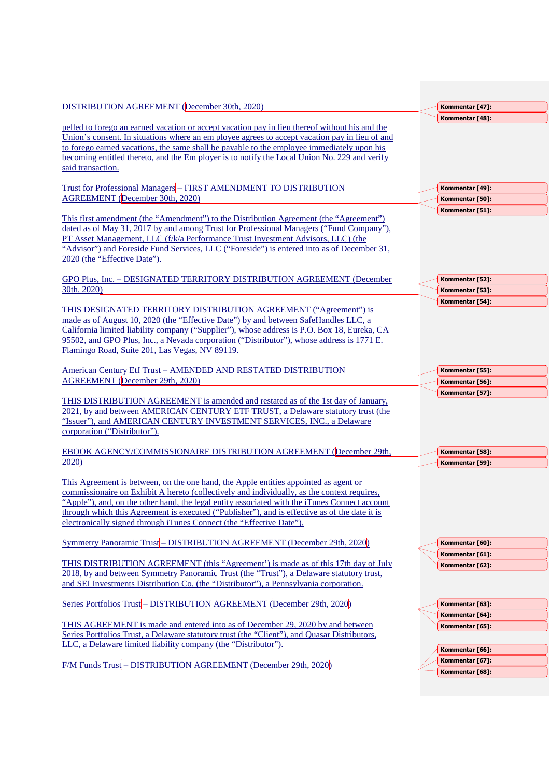| DISTRIBUTION AGREEMENT (December 30th, 2020)                                                                                                                                                                                                                                                                                                                                                                                                                  | Kommentar [47]:                    |
|---------------------------------------------------------------------------------------------------------------------------------------------------------------------------------------------------------------------------------------------------------------------------------------------------------------------------------------------------------------------------------------------------------------------------------------------------------------|------------------------------------|
| pelled to forego an earned vacation or accept vacation pay in lieu thereof without his and the<br>Union's consent. In situations where an em ployee agrees to accept vacation pay in lieu of and                                                                                                                                                                                                                                                              | Kommentar [48]:                    |
| to forego earned vacations, the same shall be payable to the employee immediately upon his<br>becoming entitled thereto, and the Em ployer is to notify the Local Union No. 229 and verify<br>said transaction.                                                                                                                                                                                                                                               |                                    |
| Trust for Professional Managers - FIRST AMENDMENT TO DISTRIBUTION<br>AGREEMENT (December 30th, 2020)                                                                                                                                                                                                                                                                                                                                                          | Kommentar [49]:<br>Kommentar [50]: |
|                                                                                                                                                                                                                                                                                                                                                                                                                                                               | Kommentar [51]:                    |
| This first amendment (the "Amendment") to the Distribution Agreement (the "Agreement")<br>dated as of May 31, 2017 by and among Trust for Professional Managers ("Fund Company"),<br>PT Asset Management, LLC (f/k/a Performance Trust Investment Advisors, LLC) (the<br>"Advisor") and Foreside Fund Services, LLC ("Foreside") is entered into as of December 31,<br>2020 (the "Effective Date").                                                           |                                    |
| GPO Plus, Inc. - DESIGNATED TERRITORY DISTRIBUTION AGREEMENT (December                                                                                                                                                                                                                                                                                                                                                                                        | Kommentar [52]:                    |
| 30th, 2020                                                                                                                                                                                                                                                                                                                                                                                                                                                    | Kommentar [53]:                    |
| THIS DESIGNATED TERRITORY DISTRIBUTION AGREEMENT ("Agreement") is<br>made as of August 10, 2020 (the "Effective Date") by and between SafeHandles LLC, a<br>California limited liability company ("Supplier"), whose address is P.O. Box 18, Eureka, CA<br>95502, and GPO Plus, Inc., a Nevada corporation ("Distributor"), whose address is 1771 E.<br>Flamingo Road, Suite 201, Las Vegas, NV 89119.                                                        | Kommentar [54]:                    |
| American Century Etf Trust-AMENDED AND RESTATED DISTRIBUTION                                                                                                                                                                                                                                                                                                                                                                                                  | Kommentar [55]:                    |
| <b>AGREEMENT</b> (December 29th, 2020)                                                                                                                                                                                                                                                                                                                                                                                                                        | Kommentar [56]:                    |
| THIS DISTRIBUTION AGREEMENT is amended and restated as of the 1st day of January,<br>2021, by and between AMERICAN CENTURY ETF TRUST, a Delaware statutory trust (the<br>"Issuer"), and AMERICAN CENTURY INVESTMENT SERVICES, INC., a Delaware<br>corporation ("Distributor").                                                                                                                                                                                | Kommentar [57]:                    |
| <b>EBOOK AGENCY/COMMISSIONAIRE DISTRIBUTION AGREEMENT (December 29th,</b>                                                                                                                                                                                                                                                                                                                                                                                     | Kommentar [58]:                    |
| 2020                                                                                                                                                                                                                                                                                                                                                                                                                                                          | Kommentar [59]:                    |
| This Agreement is between, on the one hand, the Apple entities appointed as agent or<br>commissionaire on Exhibit A hereto (collectively and individually, as the context requires,<br>"Apple"), and, on the other hand, the legal entity associated with the iTunes Connect account<br>through which this Agreement is executed ("Publisher"), and is effective as of the date it is<br>electronically signed through iTunes Connect (the "Effective Date"). |                                    |
| Symmetry Panoramic Trust - DISTRIBUTION AGREEMENT (December 29th, 2020)                                                                                                                                                                                                                                                                                                                                                                                       | Kommentar [60]:                    |
| THIS DISTRIBUTION AGREEMENT (this "Agreement') is made as of this 17th day of July<br>2018, by and between Symmetry Panoramic Trust (the "Trust"), a Delaware statutory trust,<br>and SEI Investments Distribution Co. (the "Distributor"), a Pennsylvania corporation.                                                                                                                                                                                       | Kommentar [61]:<br>Kommentar [62]: |
| Series Portfolios Trust - DISTRIBUTION AGREEMENT (December 29th, 2020)                                                                                                                                                                                                                                                                                                                                                                                        | Kommentar [63]:                    |
|                                                                                                                                                                                                                                                                                                                                                                                                                                                               | Kommentar [64]:                    |
| THIS AGREEMENT is made and entered into as of December 29, 2020 by and between<br>Series Portfolios Trust, a Delaware statutory trust (the "Client"), and Quasar Distributors,<br>LLC, a Delaware limited liability company (the "Distributor").                                                                                                                                                                                                              | Kommentar [65]:                    |
|                                                                                                                                                                                                                                                                                                                                                                                                                                                               | Kommentar [66]:                    |
| F/M Funds Trust - DISTRIBUTION AGREEMENT (December 29th, 2020)                                                                                                                                                                                                                                                                                                                                                                                                | Kommentar [67]:<br>Kommentar [68]: |
|                                                                                                                                                                                                                                                                                                                                                                                                                                                               |                                    |
|                                                                                                                                                                                                                                                                                                                                                                                                                                                               |                                    |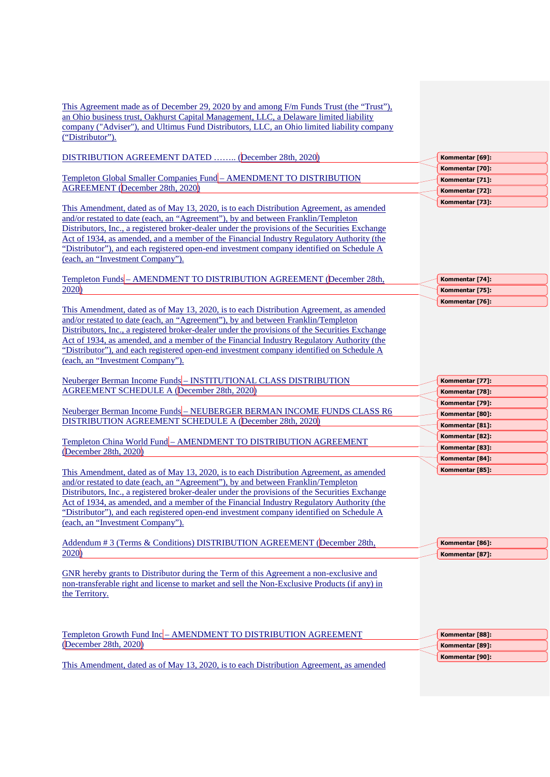This Agreement made as of December 29, 2020 by and among F/m Funds Trust (the "Trust"), an Ohio business trust, Oakhurst Capital Management, LLC, a Delaware limited liability company ("Adviser"), and Ultimus Fund Distributors, LLC, an Ohio limited liability company ("Distributor").

| DISTRIBUTION AGREEMENT DATED  (December 28th, 2020)                                                                                                                                                                                                                                                                                                                                                                                                                                                         |
|-------------------------------------------------------------------------------------------------------------------------------------------------------------------------------------------------------------------------------------------------------------------------------------------------------------------------------------------------------------------------------------------------------------------------------------------------------------------------------------------------------------|
| Templeton Global Smaller Companies Fund - AMENDMENT TO DISTRIBUTION<br><b>AGREEMENT</b> (December 28th, 2020)                                                                                                                                                                                                                                                                                                                                                                                               |
| This Amendment, dated as of May 13, 2020, is to each Distribution Agreement, as amended<br>and/or restated to date (each, an "Agreement"), by and between Franklin/Templeton<br>Distributors, Inc., a registered broker-dealer under the provisions of the Securities Exchange<br>Act of 1934, as amended, and a member of the Financial Industry Regulatory Authority (the<br>"Distributor"), and each registered open-end investment company identified on Schedule A<br>(each, an "Investment Company"). |
| Templeton Funds - AMENDMENT TO DISTRIBUTION AGREEMENT (December 28th,<br>2020                                                                                                                                                                                                                                                                                                                                                                                                                               |
| This Amendment, dated as of May 13, 2020, is to each Distribution Agreement, as amended<br>and/or restated to date (each, an "Agreement"), by and between Franklin/Templeton<br>Distributors, Inc., a registered broker-dealer under the provisions of the Securities Exchange<br>Act of 1934, as amended, and a member of the Financial Industry Regulatory Authority (the<br>"Distributor"), and each registered open-end investment company identified on Schedule A<br>(each, an "Investment Company"). |
| Neuberger Berman Income Funds-INSTITUTIONAL CLASS DISTRIBUTION<br><b>AGREEMENT SCHEDULE A (December 28th, 2020)</b>                                                                                                                                                                                                                                                                                                                                                                                         |
| Neuberger Berman Income Funds-NEUBERGER BERMAN INCOME FUNDS CLASS R6<br>DISTRIBUTION AGREEMENT SCHEDULE A (December 28th, 2020)                                                                                                                                                                                                                                                                                                                                                                             |
| Templeton China World Fund - AMENDMENT TO DISTRIBUTION AGREEMENT<br>(December 28th, 2020)                                                                                                                                                                                                                                                                                                                                                                                                                   |
| This Amendment, dated as of May 13, 2020, is to each Distribution Agreement, as amended<br>and/or restated to date (each, an "Agreement"), by and between Franklin/Templeton<br>Distributors, Inc., a registered broker-dealer under the provisions of the Securities Exchange<br>Act of 1934, as amended, and a member of the Financial Industry Regulatory Authority (the<br>"Distributor"), and each registered open-end investment company identified on Schedule A<br>(each, an "Investment Company"). |
| Addendum # 3 (Terms & Conditions) DISTRIBUTION AGREEMENT (December 28th,                                                                                                                                                                                                                                                                                                                                                                                                                                    |
| 2020                                                                                                                                                                                                                                                                                                                                                                                                                                                                                                        |
| GNR hereby grants to Distributor during the Term of this Agreement a non-exclusive and<br>non-transferable right and license to market and sell the Non-Exclusive Products (if any) in<br>the Territory.                                                                                                                                                                                                                                                                                                    |

| Kommentar [69]: |
|-----------------|
| Kommentar [70]: |
| Kommentar [71]: |
| Kommentar [72]: |
| Kommentar [73]: |

| Kommentar [74]: |
|-----------------|
| Kommentar [75]: |
| Kommentar [76]: |

| Kommentar [77]: |
|-----------------|
| Kommentar [78]: |
| Kommentar [79]: |
| Kommentar [80]: |
| Kommentar [81]: |
| Kommentar [82]: |
| Kommentar [83]: |
| Kommentar [84]: |
| Kommentar [85]: |
|                 |

**Kommentar [86]: Kommentar [87]:** 

| Templeton Growth Fund Inc - AMENDMENT TO DISTRIBUTION AGREEMENT                         | Kommentar [88]: |
|-----------------------------------------------------------------------------------------|-----------------|
| (December 28th, 2020)                                                                   | Kommentar [89]: |
|                                                                                         | Kommentar [90]: |
| This Amendment, dated as of May 13, 2020, is to each Distribution Agreement, as amended |                 |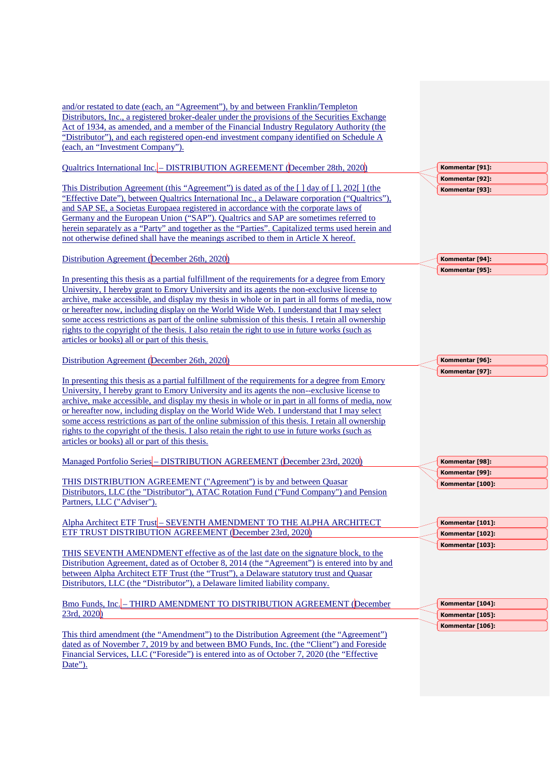and/or restated to date (each, an "Agreement"), by and between Franklin/Templeton Distributors, Inc., a registered broker-dealer under the provisions of the Securities Exchange Act of 1934, as amended, and a member of the Financial Industry Regulatory Authority (the "Distributor"), and each registered open-end investment company identified on Schedule A (each, an "Investment Company").

Qualtrics International Inc. – DISTRIBUTION AGREEMENT (December 28th, 2020)

This Distribution Agreement (this "Agreement") is dated as of the [ ] day of [ ], 202[ ] (the "Effective Date"), between Qualtrics International Inc., a Delaware corporation ("Qualtrics"), and SAP SE, a Societas Europaea registered in accordance with the corporate laws of Germany and the European Union ("SAP"). Qualtrics and SAP are sometimes referred to herein separately as a "Party" and together as the "Parties". Capitalized terms used herein and not otherwise defined shall have the meanings ascribed to them in Article X hereof.

Distribution Agreement (December 26th, 2020)

In presenting this thesis as a partial fulfillment of the requirements for a degree from Emory University, I hereby grant to Emory University and its agents the non-exclusive license to archive, make accessible, and display my thesis in whole or in part in all forms of media, now or hereafter now, including display on the World Wide Web. I understand that I may select some access restrictions as part of the online submission of this thesis. I retain all ownership rights to the copyright of the thesis. I also retain the right to use in future works (such as articles or books) all or part of this thesis.

Distribution Agreement (December 26th, 2020)

In presenting this thesis as a partial fulfillment of the requirements for a degree from Emory University, I hereby grant to Emory University and its agents the non-‐exclusive license to archive, make accessible, and display my thesis in whole or in part in all forms of media, now or hereafter now, including display on the World Wide Web. I understand that I may select some access restrictions as part of the online submission of this thesis. I retain all ownership rights to the copyright of the thesis. I also retain the right to use in future works (such as articles or books) all or part of this thesis.

Managed Portfolio Series – DISTRIBUTION AGREEMENT (December 23rd, 2020)

THIS DISTRIBUTION AGREEMENT ("Agreement'') is by and between Quasar Distributors, LLC (the "Distributor"), ATAC Rotation Fund ("Fund Company") and Pension Partners, LLC ("Adviser").

Alpha Architect ETF Trust – SEVENTH AMENDMENT TO THE ALPHA ARCHITECT ETF TRUST DISTRIBUTION AGREEMENT (December 23rd, 2020)

THIS SEVENTH AMENDMENT effective as of the last date on the signature block, to the Distribution Agreement, dated as of October 8, 2014 (the "Agreement") is entered into by and between Alpha Architect ETF Trust (the "Trust"), a Delaware statutory trust and Quasar Distributors, LLC (the "Distributor"), a Delaware limited liability company.

Bmo Funds, Inc. – THIRD AMENDMENT TO DISTRIBUTION AGREEMENT (December 23rd, 2020)

This third amendment (the "Amendment") to the Distribution Agreement (the "Agreement") dated as of November 7, 2019 by and between BMO Funds, Inc. (the "Client") and Foreside Financial Services, LLC ("Foreside") is entered into as of October 7, 2020 (the "Effective Date").

**Kommentar [91]: Kommentar [92]: Kommentar [93]:** 

**Kommentar [94]: Kommentar [95]:** 

**Kommentar [96]: Kommentar [97]:** 

**Kommentar [98]: Kommentar [99]: Kommentar [100]:** 

**Kommentar [101]: Kommentar [102]: Kommentar [103]:** 

**Kommentar [104]: Kommentar [105]: Kommentar [106]:**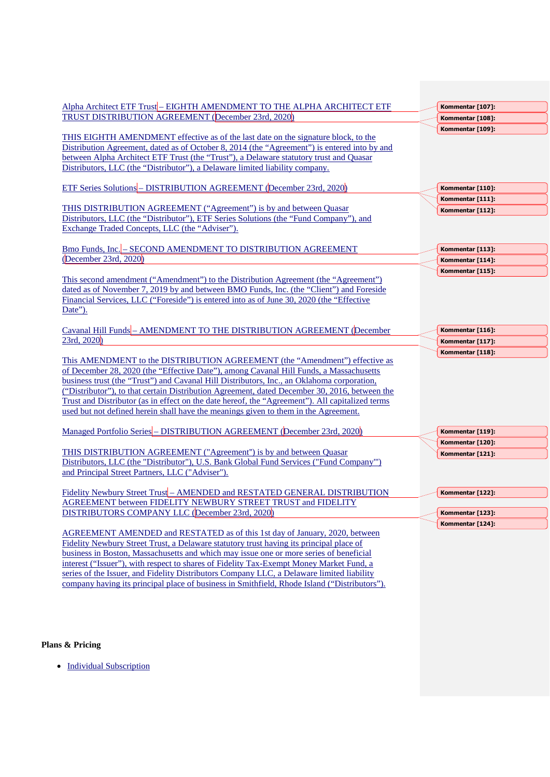| Alpha Architect ETF Trust-EIGHTH AMENDMENT TO THE ALPHA ARCHITECT ETF                                                                                                                                                                                                                                                                                                                                                                                                                                                                                          | Kommentar [107]: |
|----------------------------------------------------------------------------------------------------------------------------------------------------------------------------------------------------------------------------------------------------------------------------------------------------------------------------------------------------------------------------------------------------------------------------------------------------------------------------------------------------------------------------------------------------------------|------------------|
| <b>TRUST DISTRIBUTION AGREEMENT (December 23rd, 2020)</b>                                                                                                                                                                                                                                                                                                                                                                                                                                                                                                      | Kommentar [108]: |
| THIS EIGHTH AMENDMENT effective as of the last date on the signature block, to the<br>Distribution Agreement, dated as of October 8, 2014 (the "Agreement") is entered into by and<br>between Alpha Architect ETF Trust (the "Trust"), a Delaware statutory trust and Quasar<br>Distributors, LLC (the "Distributor"), a Delaware limited liability company.                                                                                                                                                                                                   | Kommentar [109]: |
| <b>ETF Series Solutions - DISTRIBUTION AGREEMENT (December 23rd, 2020)</b>                                                                                                                                                                                                                                                                                                                                                                                                                                                                                     | Kommentar [110]: |
|                                                                                                                                                                                                                                                                                                                                                                                                                                                                                                                                                                | Kommentar [111]: |
| THIS DISTRIBUTION AGREEMENT ("Agreement") is by and between Quasar<br>Distributors, LLC (the "Distributor"), ETF Series Solutions (the "Fund Company"), and<br>Exchange Traded Concepts, LLC (the "Adviser").                                                                                                                                                                                                                                                                                                                                                  | Kommentar [112]: |
| Bmo Funds, Inc. - SECOND AMENDMENT TO DISTRIBUTION AGREEMENT                                                                                                                                                                                                                                                                                                                                                                                                                                                                                                   | Kommentar [113]: |
| (December 23rd, 2020)                                                                                                                                                                                                                                                                                                                                                                                                                                                                                                                                          | Kommentar [114]: |
| This second amendment ("Amendment") to the Distribution Agreement (the "Agreement")<br>dated as of November 7, 2019 by and between BMO Funds, Inc. (the "Client") and Foreside<br>Financial Services, LLC ("Foreside") is entered into as of June 30, 2020 (the "Effective<br>Date").                                                                                                                                                                                                                                                                          | Kommentar [115]: |
| Cavanal Hill Funds - AMENDMENT TO THE DISTRIBUTION AGREEMENT (December                                                                                                                                                                                                                                                                                                                                                                                                                                                                                         | Kommentar [116]: |
| 23rd, 2020)                                                                                                                                                                                                                                                                                                                                                                                                                                                                                                                                                    | Kommentar [117]: |
| This AMENDMENT to the DISTRIBUTION AGREEMENT (the "Amendment") effective as<br>of December 28, 2020 (the "Effective Date"), among Cavanal Hill Funds, a Massachusetts<br>business trust (the "Trust") and Cavanal Hill Distributors, Inc., an Oklahoma corporation,<br>("Distributor"), to that certain Distribution Agreement, dated December 30, 2016, between the<br>Trust and Distributor (as in effect on the date hereof, the "Agreement"). All capitalized terms<br>used but not defined herein shall have the meanings given to them in the Agreement. | Kommentar [118]: |
| Managed Portfolio Series - DISTRIBUTION AGREEMENT (December 23rd, 2020)                                                                                                                                                                                                                                                                                                                                                                                                                                                                                        | Kommentar [119]: |
|                                                                                                                                                                                                                                                                                                                                                                                                                                                                                                                                                                | Kommentar [120]: |
| THIS DISTRIBUTION AGREEMENT ("Agreement") is by and between Quasar<br>Distributors, LLC (the "Distributor"), U.S. Bank Global Fund Services ("Fund Company"')<br>and Principal Street Partners, LLC ("Adviser").                                                                                                                                                                                                                                                                                                                                               | Kommentar [121]: |
| Fidelity Newbury Street Trust - AMENDED and RESTATED GENERAL DISTRIBUTION                                                                                                                                                                                                                                                                                                                                                                                                                                                                                      | Kommentar [122]: |
| <b>AGREEMENT between FIDELITY NEWBURY STREET TRUST and FIDELITY</b><br>DISTRIBUTORS COMPANY LLC (December 23rd, 2020)                                                                                                                                                                                                                                                                                                                                                                                                                                          | Kommentar [123]: |
| AGREEMENT AMENDED and RESTATED as of this 1st day of January, 2020, between<br>Fidelity Newbury Street Trust, a Delaware statutory trust having its principal place of<br>business in Boston, Massachusetts and which may issue one or more series of beneficial<br>interest ("Issuer"), with respect to shares of Fidelity Tax-Exempt Money Market Fund, a<br>series of the Issuer, and Fidelity Distributors Company LLC, a Delaware limited liability<br>company having its principal place of business in Smithfield, Rhode Island ("Distributors").       | Kommentar [124]: |

# **Plans & Pricing**

• Individual Subscription